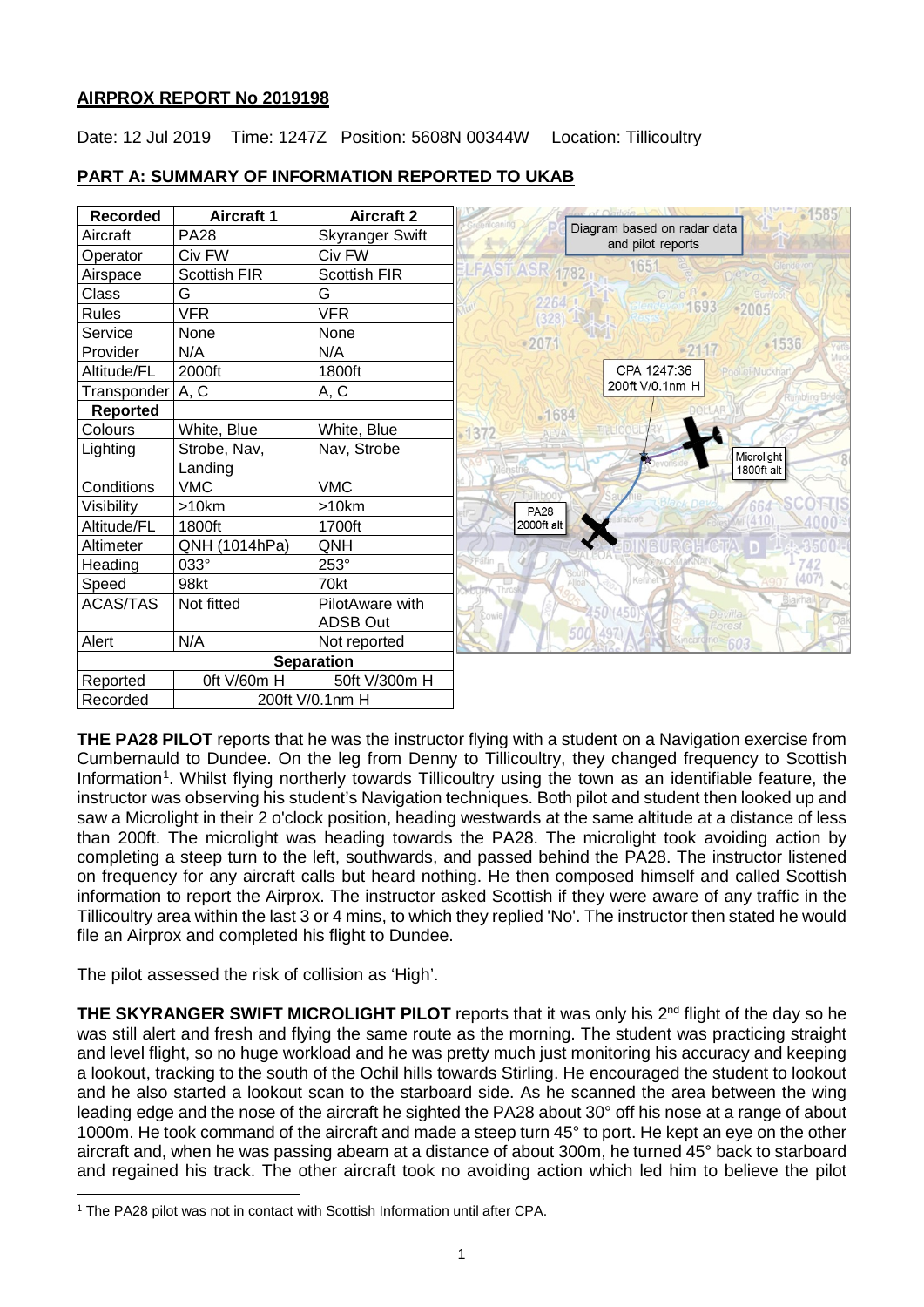## **AIRPROX REPORT No 2019198**

Date: 12 Jul 2019 Time: 1247Z Position: 5608N 00344W Location: Tillicoultry

| <b>Recorded</b> | <b>Aircraft 1</b> | <b>Aircraft 2</b>      | 1585                                             |
|-----------------|-------------------|------------------------|--------------------------------------------------|
| Aircraft        | <b>PA28</b>       | <b>Skyranger Swift</b> | Diagram based on radar data<br>and pilot reports |
| Operator        | Civ FW            | Civ FW                 |                                                  |
| Airspace        | Scottish FIR      | <b>Scottish FIR</b>    | 1651<br>LFAST ASR 1782                           |
| Class           | G                 | G                      | GIFe<br>2264                                     |
| <b>Rules</b>    | <b>VFR</b>        | <b>VFR</b>             | 1693<br><sup>6</sup> 2005<br>(328)               |
| Service         | None              | None                   |                                                  |
| Provider        | N/A               | N/A                    | $-2071$<br>-1536<br>$-2117$                      |
| Altitude/FL     | 2000ft            | 1800ft                 | CPA 1247:36<br>Pool of Muckhart                  |
| Transponder     | A, C              | A, C                   | 200ft V/0.1nm H                                  |
| <b>Reported</b> |                   |                        | $-1684$                                          |
| Colours         | White, Blue       | White, Blue            | <b>ENELICOUL</b><br>1372<br>ALVA                 |
| Lighting        | Strobe, Nav,      | Nav, Strobe            | Microlight                                       |
|                 | Landing           |                        | 1800ft alt                                       |
| Conditions      | <b>VMC</b>        | <b>VMC</b>             |                                                  |
| Visibility      | >10km             | $>10$ km               | 664<br><b>PA28</b>                               |
| Altitude/FL     | 1800ft            | 1700ft                 | 2000ft alt                                       |
| Altimeter       | QNH (1014hPa)     | QNH                    |                                                  |
| Heading         | 033°              | 253°                   | 742                                              |
| Speed           | 98kt              | 70kt                   | 407 <sup>3</sup><br><b>Kennet</b><br>Thror       |
| <b>ACAS/TAS</b> | Not fitted        | PilotAware with        | <b>Blairhall</b>                                 |
|                 |                   | <b>ADSB Out</b>        | Devilla-<br>Cowie<br>Forest                      |
| Alert           | N/A               | Not reported           | 500 (497)<br>Kincard ne 603                      |
|                 |                   | <b>Separation</b>      |                                                  |
| Reported        | Oft V/60m H       | 50ft V/300m H          |                                                  |
| Recorded        |                   | 200ft V/0.1nm H        |                                                  |

# **PART A: SUMMARY OF INFORMATION REPORTED TO UKAB**

**THE PA28 PILOT** reports that he was the instructor flying with a student on a Navigation exercise from Cumbernauld to Dundee. On the leg from Denny to Tillicoultry, they changed frequency to Scottish Information<sup>[1](#page-0-0)</sup>. Whilst flying northerly towards Tillicoultry using the town as an identifiable feature, the instructor was observing his student's Navigation techniques. Both pilot and student then looked up and saw a Microlight in their 2 o'clock position, heading westwards at the same altitude at a distance of less than 200ft. The microlight was heading towards the PA28. The microlight took avoiding action by completing a steep turn to the left, southwards, and passed behind the PA28. The instructor listened on frequency for any aircraft calls but heard nothing. He then composed himself and called Scottish information to report the Airprox. The instructor asked Scottish if they were aware of any traffic in the Tillicoultry area within the last 3 or 4 mins, to which they replied 'No'. The instructor then stated he would file an Airprox and completed his flight to Dundee.

The pilot assessed the risk of collision as 'High'.

**THE SKYRANGER SWIFT MICROLIGHT PILOT** reports that it was only his 2<sup>nd</sup> flight of the day so he was still alert and fresh and flying the same route as the morning. The student was practicing straight and level flight, so no huge workload and he was pretty much just monitoring his accuracy and keeping a lookout, tracking to the south of the Ochil hills towards Stirling. He encouraged the student to lookout and he also started a lookout scan to the starboard side. As he scanned the area between the wing leading edge and the nose of the aircraft he sighted the PA28 about 30° off his nose at a range of about 1000m. He took command of the aircraft and made a steep turn 45° to port. He kept an eye on the other aircraft and, when he was passing abeam at a distance of about 300m, he turned 45° back to starboard and regained his track. The other aircraft took no avoiding action which led him to believe the pilot

<span id="page-0-0"></span>l <sup>1</sup> The PA28 pilot was not in contact with Scottish Information until after CPA.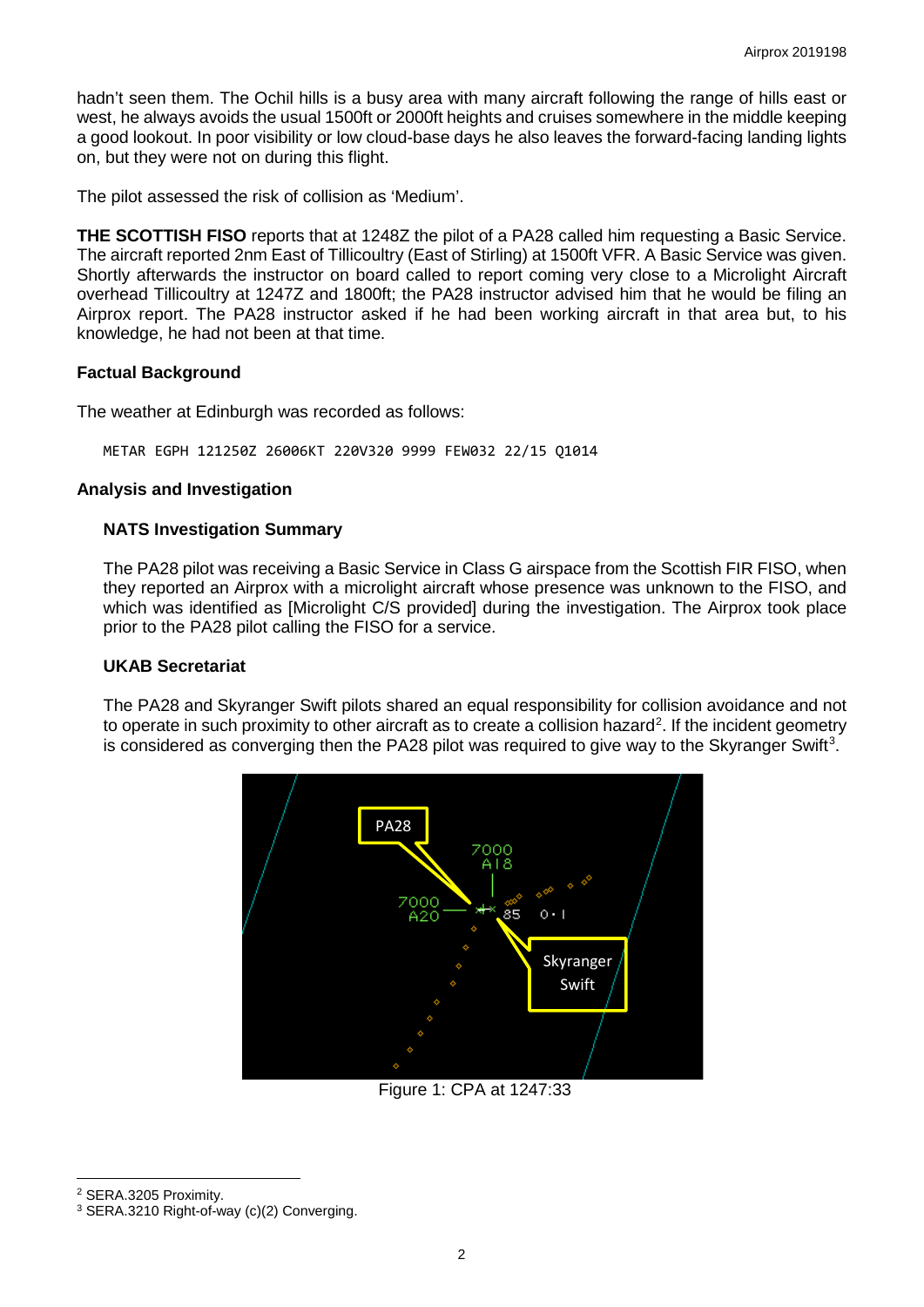hadn't seen them. The Ochil hills is a busy area with many aircraft following the range of hills east or west, he always avoids the usual 1500ft or 2000ft heights and cruises somewhere in the middle keeping a good lookout. In poor visibility or low cloud-base days he also leaves the forward-facing landing lights on, but they were not on during this flight.

The pilot assessed the risk of collision as 'Medium'.

**THE SCOTTISH FISO** reports that at 1248Z the pilot of a PA28 called him requesting a Basic Service. The aircraft reported 2nm East of Tillicoultry (East of Stirling) at 1500ft VFR. A Basic Service was given. Shortly afterwards the instructor on board called to report coming very close to a Microlight Aircraft overhead Tillicoultry at 1247Z and 1800ft; the PA28 instructor advised him that he would be filing an Airprox report. The PA28 instructor asked if he had been working aircraft in that area but, to his knowledge, he had not been at that time.

# **Factual Background**

The weather at Edinburgh was recorded as follows:

METAR EGPH 121250Z 26006KT 220V320 9999 FEW032 22/15 Q1014

## **Analysis and Investigation**

## **NATS Investigation Summary**

The PA28 pilot was receiving a Basic Service in Class G airspace from the Scottish FIR FISO, when they reported an Airprox with a microlight aircraft whose presence was unknown to the FISO, and which was identified as [Microlight C/S provided] during the investigation. The Airprox took place prior to the PA28 pilot calling the FISO for a service.

## **UKAB Secretariat**

The PA28 and Skyranger Swift pilots shared an equal responsibility for collision avoidance and not to operate in such proximity to other aircraft as to create a collision hazard<sup>[2](#page-1-0)</sup>. If the incident geometry is considered as converging then the PA28 pilot was required to give way to the Skyranger Swift<sup>[3](#page-1-1)</sup>.



Figure 1: CPA at 1247:33

<span id="page-1-0"></span><sup>2</sup> SERA.3205 Proximity.

 $\overline{\phantom{a}}$ 

<span id="page-1-1"></span><sup>3</sup> SERA.3210 Right-of-way (c)(2) Converging.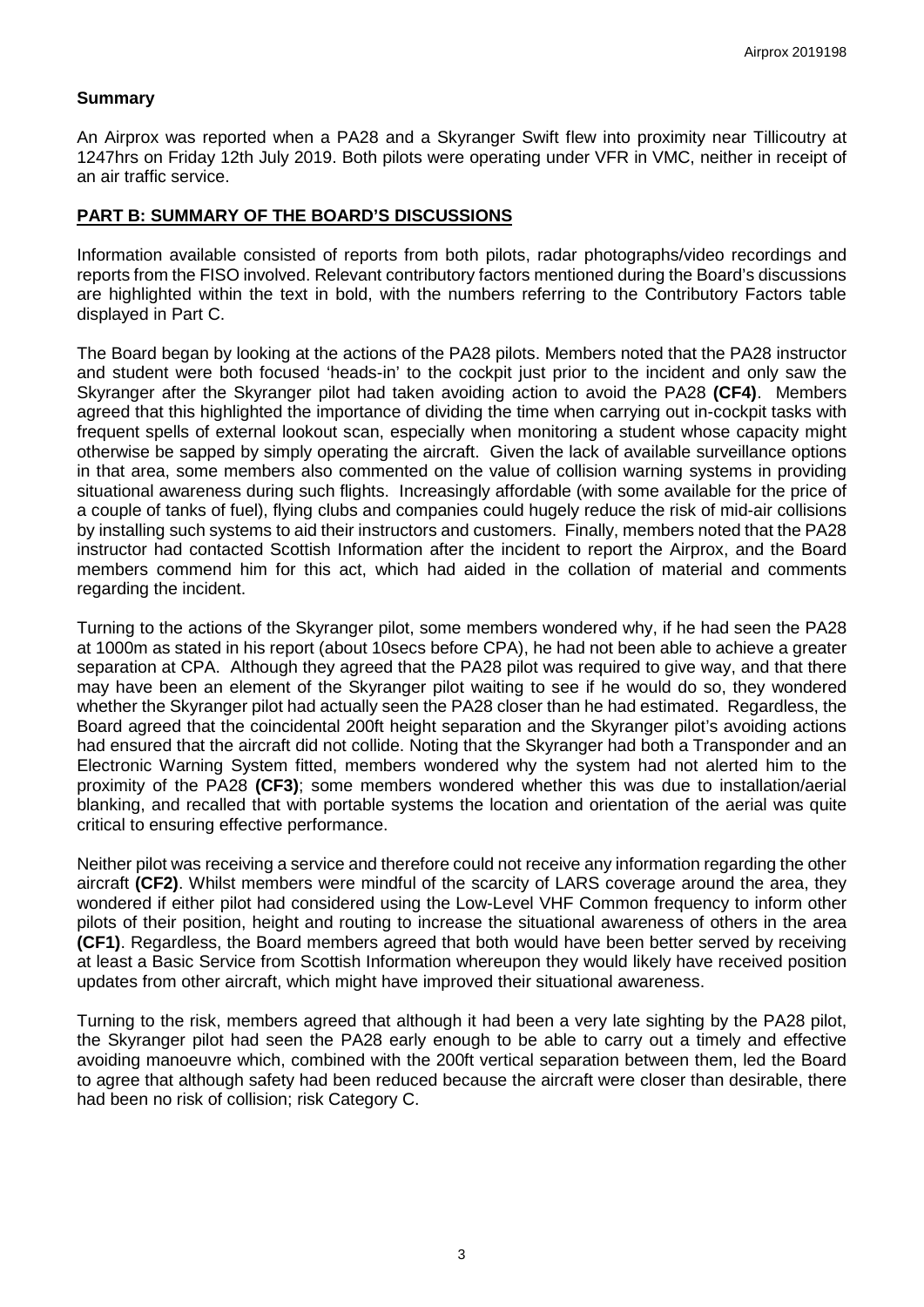## **Summary**

An Airprox was reported when a PA28 and a Skyranger Swift flew into proximity near Tillicoutry at 1247hrs on Friday 12th July 2019. Both pilots were operating under VFR in VMC, neither in receipt of an air traffic service.

#### **PART B: SUMMARY OF THE BOARD'S DISCUSSIONS**

Information available consisted of reports from both pilots, radar photographs/video recordings and reports from the FISO involved. Relevant contributory factors mentioned during the Board's discussions are highlighted within the text in bold, with the numbers referring to the Contributory Factors table displayed in Part C.

The Board began by looking at the actions of the PA28 pilots. Members noted that the PA28 instructor and student were both focused 'heads-in' to the cockpit just prior to the incident and only saw the Skyranger after the Skyranger pilot had taken avoiding action to avoid the PA28 **(CF4)**. Members agreed that this highlighted the importance of dividing the time when carrying out in-cockpit tasks with frequent spells of external lookout scan, especially when monitoring a student whose capacity might otherwise be sapped by simply operating the aircraft. Given the lack of available surveillance options in that area, some members also commented on the value of collision warning systems in providing situational awareness during such flights. Increasingly affordable (with some available for the price of a couple of tanks of fuel), flying clubs and companies could hugely reduce the risk of mid-air collisions by installing such systems to aid their instructors and customers. Finally, members noted that the PA28 instructor had contacted Scottish Information after the incident to report the Airprox, and the Board members commend him for this act, which had aided in the collation of material and comments regarding the incident.

Turning to the actions of the Skyranger pilot, some members wondered why, if he had seen the PA28 at 1000m as stated in his report (about 10secs before CPA), he had not been able to achieve a greater separation at CPA. Although they agreed that the PA28 pilot was required to give way, and that there may have been an element of the Skyranger pilot waiting to see if he would do so, they wondered whether the Skyranger pilot had actually seen the PA28 closer than he had estimated. Regardless, the Board agreed that the coincidental 200ft height separation and the Skyranger pilot's avoiding actions had ensured that the aircraft did not collide. Noting that the Skyranger had both a Transponder and an Electronic Warning System fitted, members wondered why the system had not alerted him to the proximity of the PA28 **(CF3)**; some members wondered whether this was due to installation/aerial blanking, and recalled that with portable systems the location and orientation of the aerial was quite critical to ensuring effective performance.

Neither pilot was receiving a service and therefore could not receive any information regarding the other aircraft **(CF2)**. Whilst members were mindful of the scarcity of LARS coverage around the area, they wondered if either pilot had considered using the Low-Level VHF Common frequency to inform other pilots of their position, height and routing to increase the situational awareness of others in the area **(CF1)**. Regardless, the Board members agreed that both would have been better served by receiving at least a Basic Service from Scottish Information whereupon they would likely have received position updates from other aircraft, which might have improved their situational awareness.

Turning to the risk, members agreed that although it had been a very late sighting by the PA28 pilot, the Skyranger pilot had seen the PA28 early enough to be able to carry out a timely and effective avoiding manoeuvre which, combined with the 200ft vertical separation between them, led the Board to agree that although safety had been reduced because the aircraft were closer than desirable, there had been no risk of collision; risk Category C.